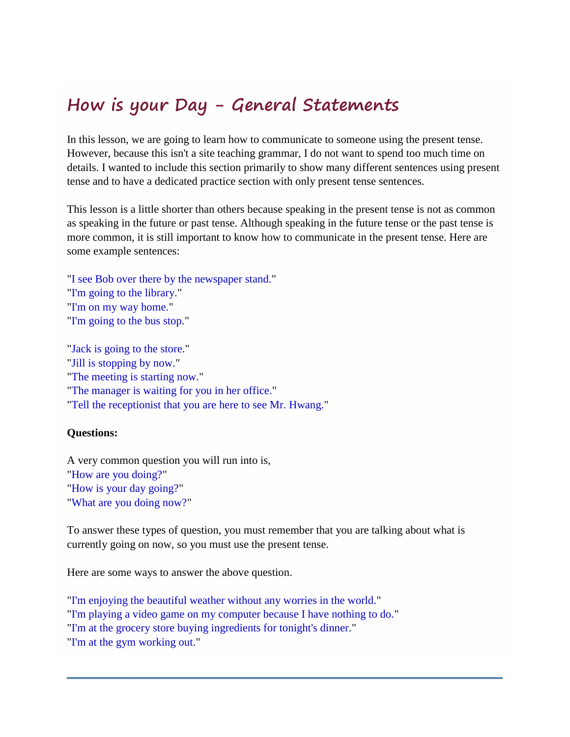## **How is your Day - General Statements**

In this lesson, we are going to learn how to communicate to someone using the present tense. However, because this isn't a site teaching grammar, I do not want to spend too much time on details. I wanted to include this section primarily to show many different sentences using present tense and to have a dedicated practice section with only present tense sentences.

This lesson is a little shorter than others because speaking in the present tense is not as common as speaking in the future or past tense. Although speaking in the future tense or the past tense is more common, it is still important to know how to communicate in the present tense. Here are some example sentences:

"I see Bob over there by the newspaper stand." "I'm going to the library." "I'm on my way home." "I'm going to the bus stop."

"Jack is going to the store." "Jill is stopping by now." "The meeting is starting now." "The manager is waiting for you in her office." "Tell the receptionist that you are here to see Mr. Hwang."

## **Questions:**

A very common question you will run into is, "How are you doing?" "How is your day going?" "What are you doing now?"

To answer these types of question, you must remember that you are talking about what is currently going on now, so you must use the present tense.

Here are some ways to answer the above question.

"I'm enjoying the beautiful weather without any worries in the world." "I'm playing a video game on my computer because I have nothing to do." "I'm at the grocery store buying ingredients for tonight's dinner." "I'm at the gym working out."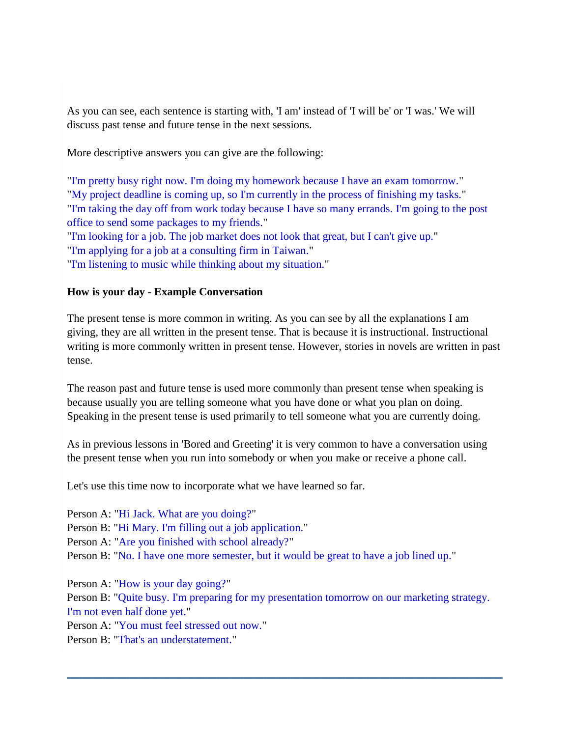As you can see, each sentence is starting with, 'I am' instead of 'I will be' or 'I was.' We will discuss past tense and future tense in the next sessions.

More descriptive answers you can give are the following:

"I'm pretty busy right now. I'm doing my homework because I have an exam tomorrow." "My project deadline is coming up, so I'm currently in the process of finishing my tasks." "I'm taking the day off from work today because I have so many errands. I'm going to the post office to send some packages to my friends." "I'm looking for a job. The job market does not look that great, but I can't give up." "I'm applying for a job at a consulting firm in Taiwan." "I'm listening to music while thinking about my situation."

## **How is your day - Example Conversation**

The present tense is more common in writing. As you can see by all the explanations I am giving, they are all written in the present tense. That is because it is instructional. Instructional writing is more commonly written in present tense. However, stories in novels are written in past tense.

The reason past and future tense is used more commonly than present tense when speaking is because usually you are telling someone what you have done or what you plan on doing. Speaking in the present tense is used primarily to tell someone what you are currently doing.

As in previous lessons in 'Bored and Greeting' it is very common to have a conversation using the present tense when you run into somebody or when you make or receive a phone call.

Let's use this time now to incorporate what we have learned so far.

Person A: "Hi Jack. What are you doing?" Person B: "Hi Mary. I'm filling out a job application." Person A: "Are you finished with school already?" Person B: "No. I have one more semester, but it would be great to have a job lined up." Person A: "How is your day going?" Person B: "Quite busy. I'm preparing for my presentation tomorrow on our marketing strategy. I'm not even half done yet." Person A: "You must feel stressed out now."

Person B: "That's an understatement."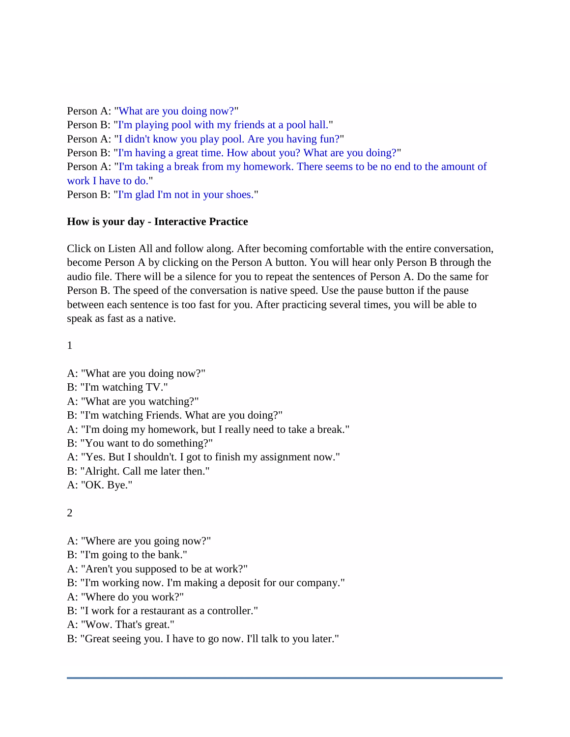Person A: "What are you doing now?" Person B: "I'm playing pool with my friends at a pool hall." Person A: "I didn't know you play pool. Are you having fun?" Person B: "I'm having a great time. How about you? What are you doing?" Person A: "I'm taking a break from my homework. There seems to be no end to the amount of work I have to do." Person B: "I'm glad I'm not in your shoes."

## **How is your day - Interactive Practice**

Click on Listen All and follow along. After becoming comfortable with the entire conversation, become Person A by clicking on the Person A button. You will hear only Person B through the audio file. There will be a silence for you to repeat the sentences of Person A. Do the same for Person B. The speed of the conversation is native speed. Use the pause button if the pause between each sentence is too fast for you. After practicing several times, you will be able to speak as fast as a native.

1

- A: "What are you doing now?"
- B: "I'm watching TV."
- A: "What are you watching?"
- B: "I'm watching Friends. What are you doing?"
- A: "I'm doing my homework, but I really need to take a break."
- B: "You want to do something?"
- A: "Yes. But I shouldn't. I got to finish my assignment now."
- B: "Alright. Call me later then."
- A: "OK. Bye."

 $\mathcal{L}$ 

- A: "Where are you going now?"
- B: "I'm going to the bank."
- A: "Aren't you supposed to be at work?"
- B: "I'm working now. I'm making a deposit for our company."
- A: "Where do you work?"
- B: "I work for a restaurant as a controller."
- A: "Wow. That's great."
- B: "Great seeing you. I have to go now. I'll talk to you later."